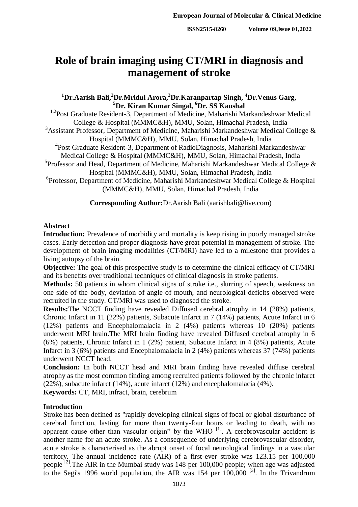**ISSN2515-8260 Volume 09,Issue 01,2022**

# **Role of brain imaging using CT/MRI in diagnosis and management of stroke**

# **<sup>1</sup>Dr.Aarish Bali, <sup>2</sup>Dr.Mridul Arora, <sup>3</sup>Dr.Karanpartap Singh, <sup>4</sup>Dr.Venus Garg, <sup>5</sup>Dr. Kiran Kumar Singal, <sup>6</sup>Dr. SS Kaushal**

<sup>1,2</sup>Post Graduate Resident-3, Department of Medicine, Maharishi Markandeshwar Medical College & Hospital (MMMC&H), MMU, Solan, Himachal Pradesh, India <sup>3</sup>Assistant Professor, Department of Medicine, Maharishi Markandeshwar Medical College  $\&$ Hospital (MMMC&H), MMU, Solan, Himachal Pradesh, India 4 Post Graduate Resident-3, Department of RadioDiagnosis, Maharishi Markandeshwar Medical College & Hospital (MMMC&H), MMU, Solan, Himachal Pradesh, India <sup>5</sup> Professor and Head, Department of Medicine, Maharishi Markandeshwar Medical College & Hospital (MMMC&H), MMU, Solan, Himachal Pradesh, India 6 Professor, Department of Medicine, Maharishi Markandeshwar Medical College & Hospital (MMMC&H), MMU, Solan, Himachal Pradesh, India

**Corresponding Author:**Dr.Aarish Bali (aarishbali@live.com)

# **Abstract**

**Introduction:** Prevalence of morbidity and mortality is keep rising in poorly managed stroke cases. Early detection and proper diagnosis have great potential in management of stroke. The development of brain imaging modalities (CT/MRI) have led to a milestone that provides a living autopsy of the brain.

**Objective:** The goal of this prospective study is to determine the clinical efficacy of CT/MRI and its benefits over traditional techniques of clinical diagnosis in stroke patients.

**Methods:** 50 patients in whom clinical signs of stroke i.e., slurring of speech, weakness on one side of the body, deviation of angle of mouth, and neurological deficits observed were recruited in the study. CT/MRI was used to diagnosed the stroke.

**Results:**The NCCT finding have revealed Diffused cerebral atrophy in 14 (28%) patients, Chronic Infarct in 11 (22%) patients, Subacute Infarct in 7 (14%) patients, Acute Infarct in 6 (12%) patients and Encephalomalacia in 2 (4%) patients whereas 10 (20%) patients underwent MRI brain.The MRI brain finding have revealed Diffused cerebral atrophy in 6 (6%) patients, Chronic Infarct in 1 (2%) patient, Subacute Infarct in 4 (8%) patients, Acute Infarct in 3 (6%) patients and Encephalomalacia in 2 (4%) patients whereas 37 (74%) patients underwent NCCT head.

**Conclusion:** In both NCCT head and MRI brain finding have revealed diffuse cerebral atrophy as the most common finding among recruited patients followed by the chronic infarct (22%), subacute infarct (14%), acute infarct (12%) and encephalomalacia (4%).

**Keywords:** CT, MRI, infract, brain, cerebrum

# **Introduction**

Stroke has been defined as "rapidly developing clinical signs of focal or global disturbance of cerebral function, lasting for more than twenty-four hours or leading to death, with no apparent cause other than vascular origin" by the WHO  $^{[1]}$ . A cerebrovascular accident is another name for an acute stroke. As a consequence of underlying cerebrovascular disorder, acute stroke is characterised as the abrupt onset of focal neurological findings in a vascular territory. The annual incidence rate (AIR) of a first-ever stroke was 123.15 per 100,000 people  $^{[2]}$ . The AIR in the Mumbai study was 148 per 100,000 people; when age was adjusted to the Segi's 1996 world population, the AIR was 154 per 100,000 [3]. In the Trivandrum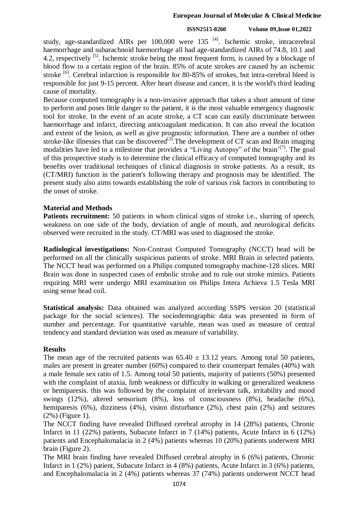#### **European Journal of Molecular & Clinical Medicine**

#### **ISSN2515-8260 Volume 09,Issue 01,2022**

study, age-standardized AIRs per  $100,000$  were  $135$  <sup>[4]</sup>. Ischemic stroke, intracerebral haemorrhage and subarachnoid haemorrhage all had age-standardized AIRs of 74.8, 10.1 and 4.2, respectively <sup>[5]</sup>. Ischemic stroke being the most frequent form, is caused by a blockage of blood flow to a certain region of the brain. 85% of acute strokes are caused by an ischemic stroke <sup>[6]</sup>. Cerebral infarction is responsible for 80-85% of strokes, but intra-cerebral bleed is responsible for just 9-15 percent. After heart disease and cancer, it is the world's third leading cause of mortality.

Because computed tomography is a non-invasive approach that takes a short amount of time to perform and poses little danger to the patient, it is the most valuable emergency diagnostic tool for stroke. In the event of an acute stroke, a CT scan can easily discriminate between haemorrhage and infarct, directing anticoagulant medication. It can also reveal the location and extent of the lesion, as well as give prognostic information. There are a number of other stroke-like illnesses that can be discovered<sup>[3]</sup>. The development of CT scan and Brain imaging modalities have led to a milestone that provides a "Living Autopsy" of the brain<sup>'[7]</sup>. The goal of this prospective study is to determine the clinical efficacy of computed tomography and its benefits over traditional techniques of clinical diagnosis in stroke patients. As a result, its (CT/MRI) function in the patient's following therapy and prognosis may be identified. The present study also aims towards establishing the role of various risk factors in contributing to the onset of stroke.

## **Material and Methods**

**Patients recruitment:** 50 patients in whom clinical signs of stroke i.e., slurring of speech, weakness on one side of the body, deviation of angle of mouth, and neurological deficits observed were recruited in the study. CT/MRI was used to diagnosed the stroke.

**Radiological investigations:** Non-Contrast Computed Tomography (NCCT) head will be performed on all the clinically suspicious patients of stroke. MRI Brain in selected patients. The NCCT head was performed on a Philips computed tomography machine-128 slices. MRI Brain was done in suspected cases of embolic stroke and to rule out stroke mimics. Patients requiring MRI were undergo MRI examination on Philips Intera Achieva 1.5 Tesla MRI using sense head coil.

**Statistical analysis:** Data obtained was analyzed according SSPS version 20 (statistical package for the social sciences). The sociodemographic data was presented in form of number and percentage. For quantitative variable, mean was used as measure of central tendency and standard deviation was used as measure of variability.

## **Results**

The mean age of the recruited patients was  $65.40 \pm 13.12$  years. Among total 50 patients, males are present in greater number (60%) compared to their counterpart females (40%) with a male female sex ratio of 1.5. Among total 50 patients, majority of patients (50%) presented with the complaint of ataxia, limb weakness or difficulty in walking or generalized weakness or hemiparesis. this was followed by the complaint of irrelevant talk, irritability and mood swings (12%), altered sensorium (8%), loss of consciousness (8%), headache (6%), hemiparesis (6%), dizziness (4%), vision disturbance (2%), chest pain (2%) and seizures (2%) (Figure 1).

The NCCT finding have revealed Diffused cerebral atrophy in 14 (28%) patients, Chronic Infarct in 11 (22%) patients, Subacute Infarct in 7 (14%) patients, Acute Infarct in 6 (12%) patients and Encephalomalacia in 2 (4%) patients whereas 10 (20%) patients underwent MRI brain (Figure 2).

The MRI brain finding have revealed Diffused cerebral atrophy in 6 (6%) patients, Chronic Infarct in 1 (2%) patient, Subacute Infarct in 4 (8%) patients, Acute Infarct in 3 (6%) patients, and Encephalomalacia in 2 (4%) patients whereas 37 (74%) patients underwent NCCT head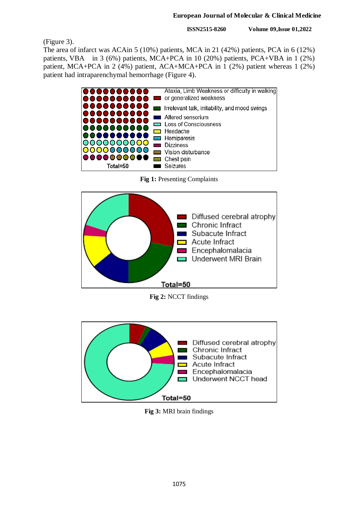#### **European Journal of Molecular & Clinical Medicine**

**ISSN2515-8260 Volume 09,Issue 01,2022**

(Figure 3).

The area of infarct was ACAin 5 (10%) patients, MCA in 21 (42%) patients, PCA in 6 (12%) patients, VBA in 3 (6%) patients, MCA+PCA in 10 (20%) patients, PCA+VBA in 1 (2%) patient, MCA+PCA in 2 (4%) patient, ACA+MCA+PCA in 1 (2%) patient whereas 1 (2%) patient had intraparenchymal hemorrhage (Figure 4).



**Fig 1:** Presenting Complaints



**Fig 2:** NCCT findings



**Fig 3:** MRI brain findings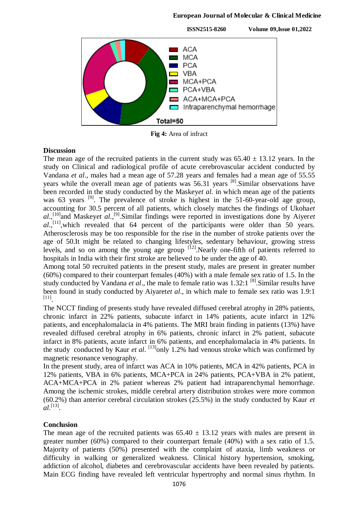#### **European Journal of Molecular & Clinical Medicine**



**Fig 4:** Area of infract

## **Discussion**

The mean age of the recruited patients in the current study was  $65.40 \pm 13.12$  years. In the study on Clinical and radiological profile of acute cerebrovascular accident conducted by Vandana *et al*., males had a mean age of 57.28 years and females had a mean age of 55.55 years while the overall mean age of patients was 56.31 years <sup>[8]</sup>. Similar observations have been recorded in the study conducted by the Maskey*et al*. in which mean age of the patients was 63 years <sup>[9]</sup>. The prevalence of stroke is highest in the 51-60-year-old age group, accounting for 30.5 percent of all patients, which closely matches the findings of Ukoha*et*  al.,<sup>[10]</sup> and Maskeyet al.,<sup>[9]</sup>. Similar findings were reported in investigations done by Aiyeret al.,<sup>[11]</sup>, which revealed that 64 percent of the participants were older than 50 years. Atherosclerosis may be too responsible for the rise in the number of stroke patients over the age of 50.It might be related to changing lifestyles, sedentary behaviour, growing stress levels, and so on among the young age group  $\left[12\right]$ . Nearly one-fifth of patients referred to hospitals in India with their first stroke are believed to be under the age of 40.

Among total 50 recruited patients in the present study, males are present in greater number (60%) compared to their counterpart females (40%) with a male female sex ratio of 1.5. In the study conducted by Vandana et al., the male to female ratio was 1.32:1<sup>[8]</sup>. Similar results have been found in study conducted by Aiyaret*et al*., in which male to female sex ratio was 1.9:1 [11] .

The NCCT finding of presents study have revealed diffused cerebral atrophy in 28% patients, chronic infarct in 22% patients, subacute infarct in 14% patients, acute infarct in 12% patients, and encephalomalacia in 4% patients. The MRI brain finding in patients (13%) have revealed diffused cerebral atrophy in 6% patients, chronic infarct in 2% patient, subacute infarct in 8% patients, acute infarct in 6% patients, and encephalomalacia in 4% patients. In the study conducted by Kaur *et al.* <sup>[13]</sup>only 1.2% had venous stroke which was confirmed by magnetic resonance venography.

In the present study, area of infarct was ACA in 10% patients, MCA in 42% patients, PCA in 12% patients, VBA in 6% patients, MCA+PCA in 24% patients, PCA+VBA in 2% patient, ACA+MCA+PCA in 2% patient whereas 2% patient had intraparenchymal hemorrhage. Among the ischemic strokes, middle cerebral artery distribution strokes were more common (60.2%) than anterior cerebral circulation strokes (25.5%) in the study conducted by Kaur *et al*. [13] .

## **Conclusion**

The mean age of the recruited patients was  $65.40 \pm 13.12$  years with males are present in greater number (60%) compared to their counterpart female (40%) with a sex ratio of 1.5. Majority of patients (50%) presented with the complaint of ataxia, limb weakness or difficulty in walking or generalized weakness. Clinical history hypertension, smoking, addiction of alcohol, diabetes and cerebrovascular accidents have been revealed by patients. Main ECG finding have revealed left ventricular hypertrophy and normal sinus rhythm. In